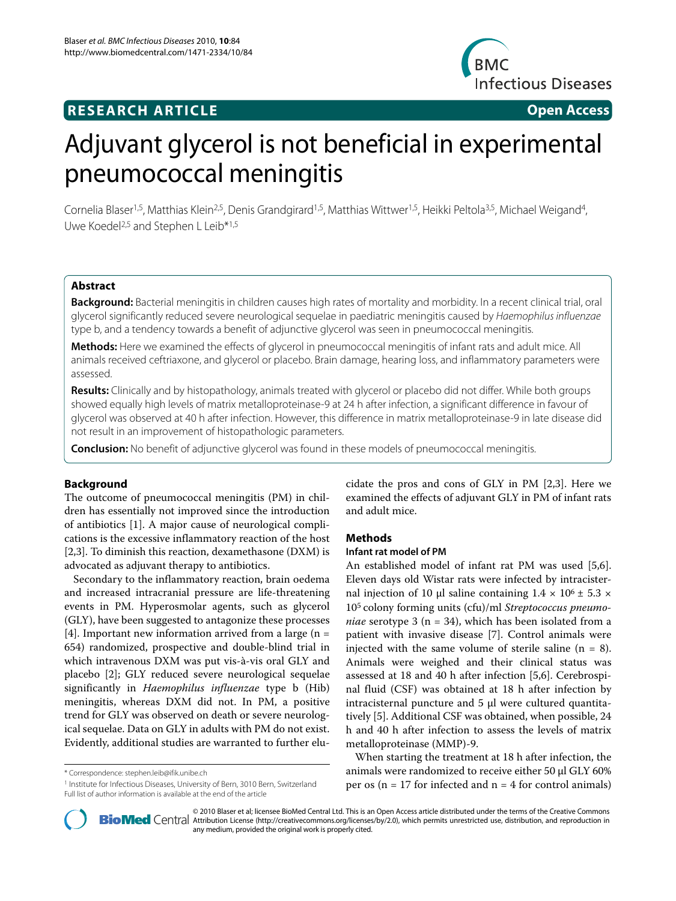## **RESEARCH ARTICLE Open Access**



# Adjuvant glycerol is not beneficial in experimental pneumococcal meningitis

Cornelia Blaser<sup>1,5</sup>, Matthias Klein<sup>2,5</sup>, Denis Grandgirard<sup>1,5</sup>, Matthias Wittwer<sup>1,5</sup>, Heikki Peltola<sup>3,5</sup>, Michael Weigand<sup>4</sup>, Uwe Koedel<sup>2,5</sup> and Stephen L Leib<sup>\*1,5</sup>

## **Abstract**

**Background:** Bacterial meningitis in children causes high rates of mortality and morbidity. In a recent clinical trial, oral glycerol significantly reduced severe neurological sequelae in paediatric meningitis caused by Haemophilus influenzae type b, and a tendency towards a benefit of adjunctive glycerol was seen in pneumococcal meningitis.

**Methods:** Here we examined the effects of glycerol in pneumococcal meningitis of infant rats and adult mice. All animals received ceftriaxone, and glycerol or placebo. Brain damage, hearing loss, and inflammatory parameters were assessed.

**Results:** Clinically and by histopathology, animals treated with glycerol or placebo did not differ. While both groups showed equally high levels of matrix metalloproteinase-9 at 24 h after infection, a significant difference in favour of glycerol was observed at 40 h after infection. However, this difference in matrix metalloproteinase-9 in late disease did not result in an improvement of histopathologic parameters.

**Conclusion:** No benefit of adjunctive glycerol was found in these models of pneumococcal meningitis.

#### **Background**

The outcome of pneumococcal meningitis (PM) in children has essentially not improved since the introduction of antibiotics [1]. A major cause of neurological complications is the excessive inflammatory reaction of the host [2,3]. To diminish this reaction, dexamethasone (DXM) is advocated as adjuvant therapy to antibiotics.

Secondary to the inflammatory reaction, brain oedema and increased intracranial pressure are life-threatening events in PM. Hyperosmolar agents, such as glycerol (GLY), have been suggested to antagonize these processes [4]. Important new information arrived from a large  $(n =$ 654) randomized, prospective and double-blind trial in which intravenous DXM was put vis-à-vis oral GLY and placebo [2]; GLY reduced severe neurological sequelae significantly in *Haemophilus influenzae* type b (Hib) meningitis, whereas DXM did not. In PM, a positive trend for GLY was observed on death or severe neurological sequelae. Data on GLY in adults with PM do not exist. Evidently, additional studies are warranted to further elucidate the pros and cons of GLY in PM [2,3]. Here we examined the effects of adjuvant GLY in PM of infant rats and adult mice.

#### **Methods**

#### **Infant rat model of PM**

An established model of infant rat PM was used [5,6]. Eleven days old Wistar rats were infected by intracisternal injection of 10 μl saline containing  $1.4 \times 10^6 \pm 5.3 \times$ 105 colony forming units (cfu)/ml *Streptococcus pneumoniae* serotype 3 (n = 34), which has been isolated from a patient with invasive disease [7]. Control animals were injected with the same volume of sterile saline  $(n = 8)$ . Animals were weighed and their clinical status was assessed at 18 and 40 h after infection [5,6]. Cerebrospinal fluid (CSF) was obtained at 18 h after infection by intracisternal puncture and 5 μl were cultured quantitatively [5]. Additional CSF was obtained, when possible, 24 h and 40 h after infection to assess the levels of matrix metalloproteinase (MMP)-9.

When starting the treatment at 18 h after infection, the animals were randomized to receive either 50 μl GLY 60% per os ( $n = 17$  for infected and  $n = 4$  for control animals)



2010 Blaser et al; licensee BioMed Central Ltd. This is an Open Access article distributed under the terms of the Creative Commons (http://creativecommons.org/licenses/by/2.0), which permits unrestricted use, distribution, any medium, provided the original work is properly cited.

<sup>\*</sup> Correspondence: stephen.leib@ifik.unibe.ch

<sup>1</sup> Institute for Infectious Diseases, University of Bern, 3010 Bern, Switzerland Full list of author information is available at the end of the article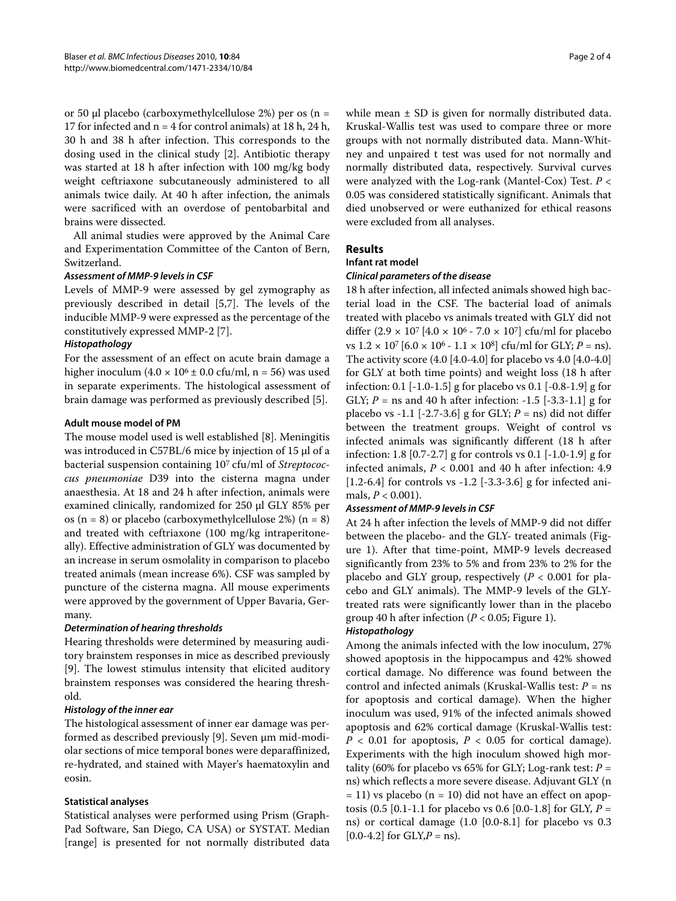or 50 μl placebo (carboxymethylcellulose 2%) per os (n = 17 for infected and  $n = 4$  for control animals) at 18 h, 24 h, 30 h and 38 h after infection. This corresponds to the dosing used in the clinical study [2]. Antibiotic therapy was started at 18 h after infection with 100 mg/kg body weight ceftriaxone subcutaneously administered to all animals twice daily. At 40 h after infection, the animals were sacrificed with an overdose of pentobarbital and brains were dissected.

All animal studies were approved by the Animal Care and Experimentation Committee of the Canton of Bern, Switzerland.

#### *Assessment of MMP-9 levels in CSF*

Levels of MMP-9 were assessed by gel zymography as previously described in detail [5,7]. The levels of the inducible MMP-9 were expressed as the percentage of the constitutively expressed MMP-2 [7].

## *Histopathology*

For the assessment of an effect on acute brain damage a higher inoculum  $(4.0 \times 10^6 \pm 0.0 \text{ cft/ml}, n = 56)$  was used in separate experiments. The histological assessment of brain damage was performed as previously described [5].

## **Adult mouse model of PM**

The mouse model used is well established [8]. Meningitis was introduced in C57BL/6 mice by injection of 15 μl of a bacterial suspension containing 107 cfu/ml of *Streptococcus pneumoniae* D39 into the cisterna magna under anaesthesia. At 18 and 24 h after infection, animals were examined clinically, randomized for 250 μl GLY 85% per os (n = 8) or placebo (carboxymethylcellulose 2%) (n = 8) and treated with ceftriaxone (100 mg/kg intraperitoneally). Effective administration of GLY was documented by an increase in serum osmolality in comparison to placebo treated animals (mean increase 6%). CSF was sampled by puncture of the cisterna magna. All mouse experiments were approved by the government of Upper Bavaria, Germany.

## *Determination of hearing thresholds*

Hearing thresholds were determined by measuring auditory brainstem responses in mice as described previously [9]. The lowest stimulus intensity that elicited auditory brainstem responses was considered the hearing threshold.

## *Histology of the inner ear*

The histological assessment of inner ear damage was performed as described previously [9]. Seven μm mid-modiolar sections of mice temporal bones were deparaffinized, re-hydrated, and stained with Mayer's haematoxylin and eosin.

## **Statistical analyses**

Statistical analyses were performed using Prism (Graph-Pad Software, San Diego, CA USA) or SYSTAT. Median [range] is presented for not normally distributed data while mean  $\pm$  SD is given for normally distributed data. Kruskal-Wallis test was used to compare three or more groups with not normally distributed data. Mann-Whitney and unpaired t test was used for not normally and normally distributed data, respectively. Survival curves were analyzed with the Log-rank (Mantel-Cox) Test. *P* < 0.05 was considered statistically significant. Animals that died unobserved or were euthanized for ethical reasons were excluded from all analyses.

## **Results**

## **Infant rat model**

#### *Clinical parameters of the disease*

18 h after infection, all infected animals showed high bacterial load in the CSF. The bacterial load of animals treated with placebo vs animals treated with GLY did not differ  $(2.9 \times 10^7)$  [4.0  $\times$  10<sup>6</sup> - 7.0  $\times$  10<sup>7</sup>] cfu/ml for placebo vs  $1.2 \times 10^7$  [6.0  $\times$  10<sup>6</sup> -  $1.1 \times 10^8$ ] cfu/ml for GLY; *P* = ns). The activity score (4.0 [4.0-4.0] for placebo vs 4.0 [4.0-4.0] for GLY at both time points) and weight loss (18 h after infection: 0.1 [-1.0-1.5] g for placebo vs 0.1 [-0.8-1.9] g for GLY; *P* = ns and 40 h after infection: -1.5 [-3.3-1.1] g for placebo vs -1.1  $[-2.7-3.6]$  g for GLY;  $P =$ ns) did not differ between the treatment groups. Weight of control vs infected animals was significantly different (18 h after infection: 1.8 [0.7-2.7] g for controls vs 0.1 [-1.0-1.9] g for infected animals, *P* < 0.001 and 40 h after infection: 4.9 [1.2-6.4] for controls vs -1.2 [-3.3-3.6] g for infected animals,  $P < 0.001$ ).

## *Assessment of MMP-9 levels in CSF*

At 24 h after infection the levels of MMP-9 did not differ between the placebo- and the GLY- treated animals (Figure 1). After that time-point, MMP-9 levels decreased significantly from 23% to 5% and from 23% to 2% for the placebo and GLY group, respectively (*P* < 0.001 for placebo and GLY animals). The MMP-9 levels of the GLYtreated rats were significantly lower than in the placebo group 40 h after infection ( $P < 0.05$ ; Figure 1).

## *Histopathology*

Among the animals infected with the low inoculum, 27% showed apoptosis in the hippocampus and 42% showed cortical damage. No difference was found between the control and infected animals (Kruskal-Wallis test: *P* = ns for apoptosis and cortical damage). When the higher inoculum was used, 91% of the infected animals showed apoptosis and 62% cortical damage (Kruskal-Wallis test:  $P < 0.01$  for apoptosis,  $P < 0.05$  for cortical damage). Experiments with the high inoculum showed high mortality (60% for placebo vs 65% for GLY; Log-rank test: *P* = ns) which reflects a more severe disease. Adjuvant GLY (n  $= 11$ ) vs placebo (n  $= 10$ ) did not have an effect on apoptosis (0.5 [0.1-1.1 for placebo vs 0.6 [0.0-1.8] for GLY, *P* = ns) or cortical damage (1.0 [0.0-8.1] for placebo vs 0.3  $[0.0-4.2]$  for  $GLY, P = ns$ .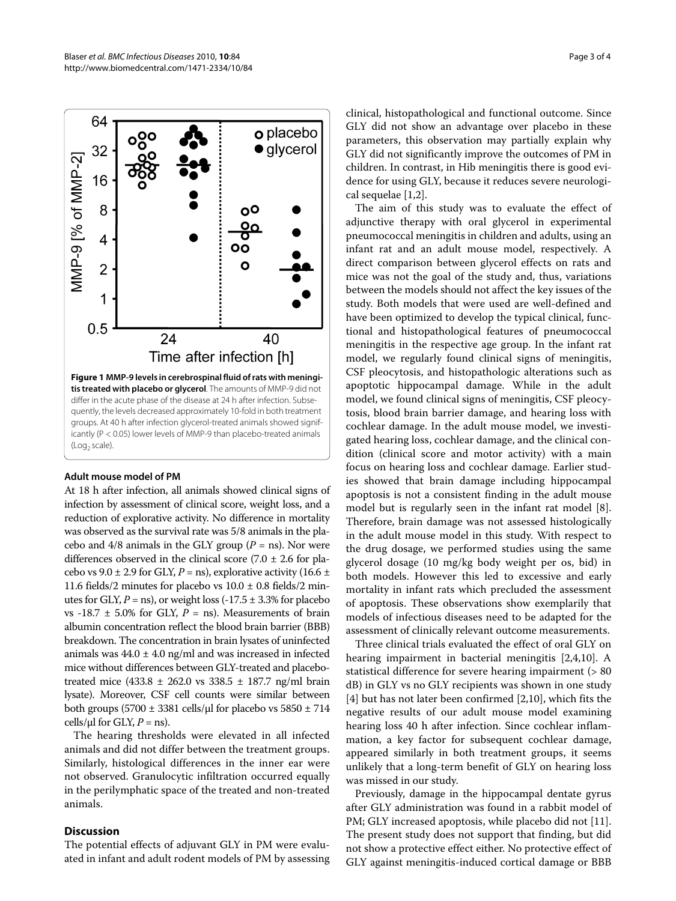

#### **Adult mouse model of PM**

At 18 h after infection, all animals showed clinical signs of infection by assessment of clinical score, weight loss, and a reduction of explorative activity. No difference in mortality was observed as the survival rate was 5/8 animals in the placebo and  $4/8$  animals in the GLY group ( $P =$ ns). Nor were differences observed in the clinical score  $(7.0 \pm 2.6$  for placebo vs  $9.0 \pm 2.9$  for GLY,  $P =$ ns), explorative activity (16.6  $\pm$ 11.6 fields/2 minutes for placebo vs  $10.0 \pm 0.8$  fields/2 minutes for GLY,  $P =$ ns), or weight loss  $(-17.5 \pm 3.3\%)$  for placebo vs -18.7  $\pm$  5.0% for GLY,  $P =$  ns). Measurements of brain albumin concentration reflect the blood brain barrier (BBB) breakdown. The concentration in brain lysates of uninfected animals was  $44.0 \pm 4.0$  ng/ml and was increased in infected mice without differences between GLY-treated and placebotreated mice (433.8  $\pm$  262.0 vs 338.5  $\pm$  187.7 ng/ml brain lysate). Moreover, CSF cell counts were similar between both groups (5700  $\pm$  3381 cells/ $\mu$ l for placebo vs 5850  $\pm$  714 cells/ $\mu$ l for GLY,  $P =$ ns).

The hearing thresholds were elevated in all infected animals and did not differ between the treatment groups. Similarly, histological differences in the inner ear were not observed. Granulocytic infiltration occurred equally in the perilymphatic space of the treated and non-treated animals.

#### **Discussion**

The potential effects of adjuvant GLY in PM were evaluated in infant and adult rodent models of PM by assessing

clinical, histopathological and functional outcome. Since GLY did not show an advantage over placebo in these parameters, this observation may partially explain why GLY did not significantly improve the outcomes of PM in children. In contrast, in Hib meningitis there is good evidence for using GLY, because it reduces severe neurological sequelae [1,2].

The aim of this study was to evaluate the effect of adjunctive therapy with oral glycerol in experimental pneumococcal meningitis in children and adults, using an infant rat and an adult mouse model, respectively. A direct comparison between glycerol effects on rats and mice was not the goal of the study and, thus, variations between the models should not affect the key issues of the study. Both models that were used are well-defined and have been optimized to develop the typical clinical, functional and histopathological features of pneumococcal meningitis in the respective age group. In the infant rat model, we regularly found clinical signs of meningitis, CSF pleocytosis, and histopathologic alterations such as apoptotic hippocampal damage. While in the adult model, we found clinical signs of meningitis, CSF pleocytosis, blood brain barrier damage, and hearing loss with cochlear damage. In the adult mouse model, we investigated hearing loss, cochlear damage, and the clinical condition (clinical score and motor activity) with a main focus on hearing loss and cochlear damage. Earlier studies showed that brain damage including hippocampal apoptosis is not a consistent finding in the adult mouse model but is regularly seen in the infant rat model [8]. Therefore, brain damage was not assessed histologically in the adult mouse model in this study. With respect to the drug dosage, we performed studies using the same glycerol dosage (10 mg/kg body weight per os, bid) in both models. However this led to excessive and early mortality in infant rats which precluded the assessment of apoptosis. These observations show exemplarily that models of infectious diseases need to be adapted for the assessment of clinically relevant outcome measurements.

Three clinical trials evaluated the effect of oral GLY on hearing impairment in bacterial meningitis [2,4,10]. A statistical difference for severe hearing impairment (> 80 dB) in GLY vs no GLY recipients was shown in one study [4] but has not later been confirmed [2,10], which fits the negative results of our adult mouse model examining hearing loss 40 h after infection. Since cochlear inflammation, a key factor for subsequent cochlear damage, appeared similarly in both treatment groups, it seems unlikely that a long-term benefit of GLY on hearing loss was missed in our study.

Previously, damage in the hippocampal dentate gyrus after GLY administration was found in a rabbit model of PM; GLY increased apoptosis, while placebo did not [11]. The present study does not support that finding, but did not show a protective effect either. No protective effect of GLY against meningitis-induced cortical damage or BBB